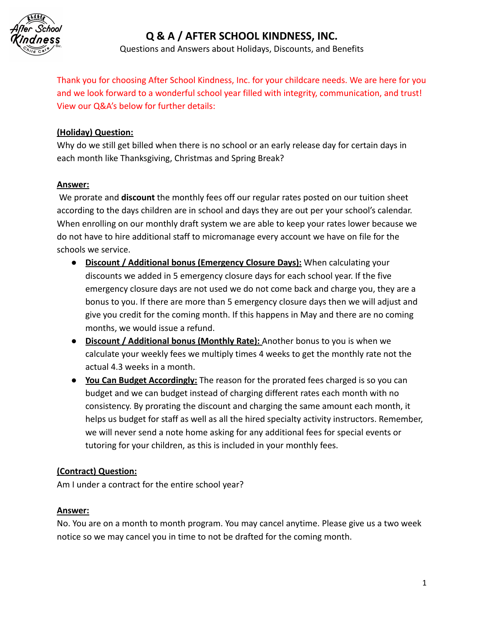

# **Q & A / AFTER SCHOOL KINDNESS, INC.**

Questions and Answers about Holidays, Discounts, and Benefits

Thank you for choosing After School Kindness, Inc. for your childcare needs. We are here for you and we look forward to a wonderful school year filled with integrity, communication, and trust! View our Q&A's below for further details:

# **(Holiday) Question:**

Why do we still get billed when there is no school or an early release day for certain days in each month like Thanksgiving, Christmas and Spring Break?

# **Answer:**

We prorate and **discount** the monthly fees off our regular rates posted on our tuition sheet according to the days children are in school and days they are out per your school's calendar. When enrolling on our monthly draft system we are able to keep your rates lower because we do not have to hire additional staff to micromanage every account we have on file for the schools we service.

- **Discount / Additional bonus (Emergency Closure Days):** When calculating your discounts we added in 5 emergency closure days for each school year. If the five emergency closure days are not used we do not come back and charge you, they are a bonus to you. If there are more than 5 emergency closure days then we will adjust and give you credit for the coming month. If this happens in May and there are no coming months, we would issue a refund.
- **Discount / Additional bonus (Monthly Rate):** Another bonus to you is when we calculate your weekly fees we multiply times 4 weeks to get the monthly rate not the actual 4.3 weeks in a month.
- **You Can Budget Accordingly:** The reason for the prorated fees charged is so you can budget and we can budget instead of charging different rates each month with no consistency. By prorating the discount and charging the same amount each month, it helps us budget for staff as well as all the hired specialty activity instructors. Remember, we will never send a note home asking for any additional fees for special events or tutoring for your children, as this is included in your monthly fees.

# **(Contract) Question:**

Am I under a contract for the entire school year?

# **Answer:**

No. You are on a month to month program. You may cancel anytime. Please give us a two week notice so we may cancel you in time to not be drafted for the coming month.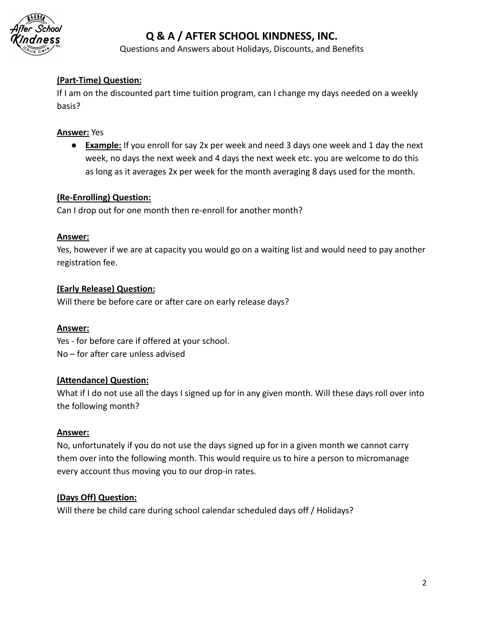

# **Q & A / AFTER SCHOOL KINDNESS, INC.**

Questions and Answers about Holidays, Discounts, and Benefits

# **(Part-Time) Question:**

If I am on the discounted part time tuition program, can I change my days needed on a weekly basis?

# **Answer:** Yes

● **Example:** If you enroll for say 2x per week and need 3 days one week and 1 day the next week, no days the next week and 4 days the next week etc. you are welcome to do this as long as it averages 2x per week for the month averaging 8 days used for the month.

## **(Re-Enrolling) Question:**

Can I drop out for one month then re-enroll for another month?

#### **Answer:**

Yes, however if we are at capacity you would go on a waiting list and would need to pay another registration fee.

## **(Early Release) Question:**

Will there be before care or after care on early release days?

#### **Answer:**

Yes - for before care if offered at your school. No – for after care unless advised

# **(Attendance) Question:**

What if I do not use all the days I signed up for in any given month. Will these days roll over into the following month?

#### **Answer:**

No, unfortunately if you do not use the days signed up for in a given month we cannot carry them over into the following month. This would require us to hire a person to micromanage every account thus moving you to our drop-in rates.

# **(Days Off) Question:**

Will there be child care during school calendar scheduled days off / Holidays?